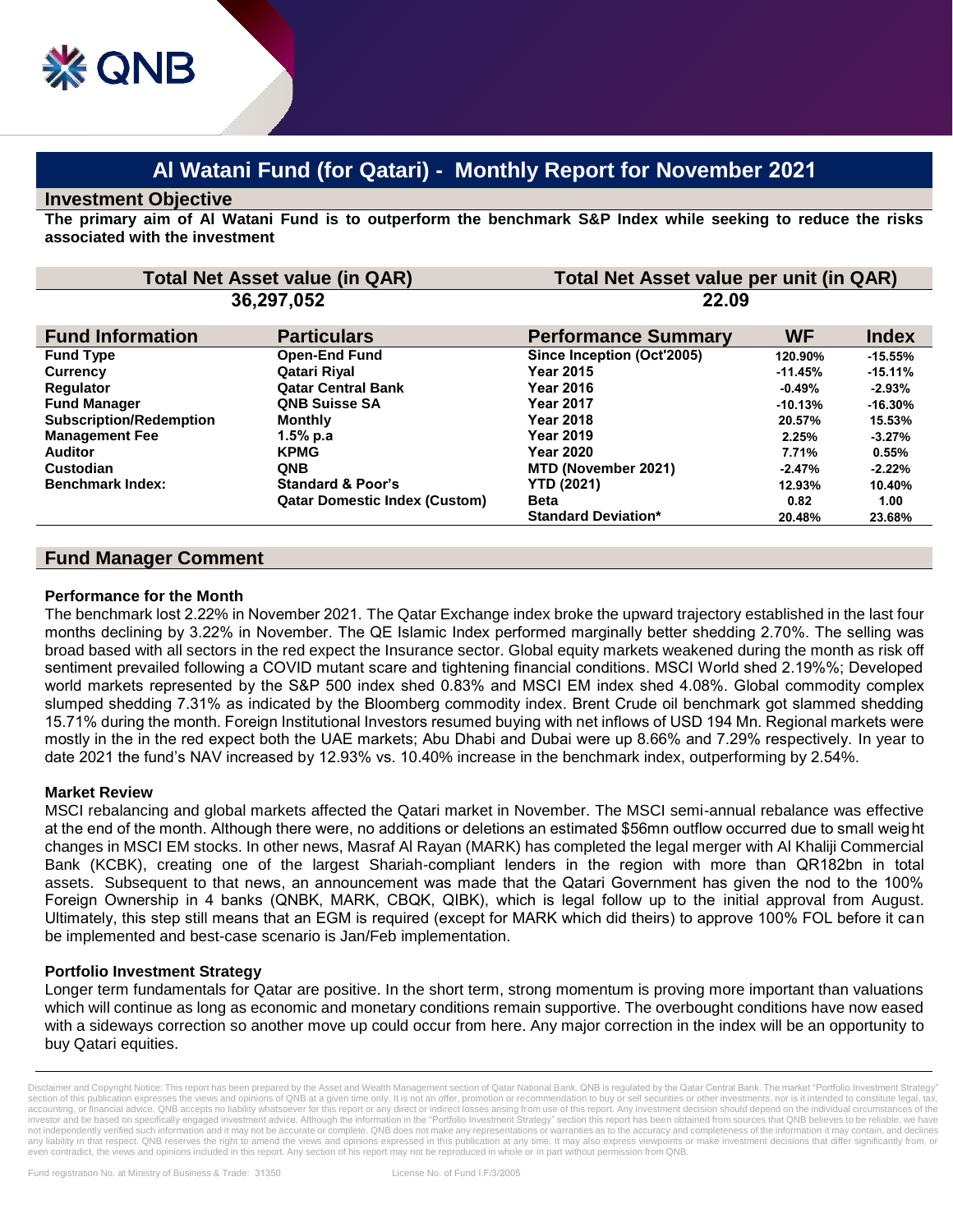# **Al Watani Fund (for Qatari) - Monthly Report for November 2021**

### **Investment Objective**

**The primary aim of Al Watani Fund is to outperform the benchmark S&P Index while seeking to reduce the risks associated with the investment**

| <b>Total Net Asset value (in QAR)</b> |                                      | Total Net Asset value per unit (in QAR) |           |              |
|---------------------------------------|--------------------------------------|-----------------------------------------|-----------|--------------|
| 36,297,052                            |                                      | 22.09                                   |           |              |
| <b>Fund Information</b>               | <b>Particulars</b>                   | <b>Performance Summary</b>              | <b>WF</b> | <b>Index</b> |
| <b>Fund Type</b>                      | <b>Open-End Fund</b>                 | Since Inception (Oct'2005)              | 120.90%   | $-15.55%$    |
| <b>Currency</b>                       | Qatari Riyal                         | <b>Year 2015</b>                        | $-11.45%$ | $-15.11%$    |
| <b>Requlator</b>                      | <b>Qatar Central Bank</b>            | <b>Year 2016</b>                        | $-0.49%$  | $-2.93\%$    |
| <b>Fund Manager</b>                   | <b>QNB Suisse SA</b>                 | <b>Year 2017</b>                        | $-10.13%$ | $-16.30%$    |
| <b>Subscription/Redemption</b>        | <b>Monthly</b>                       | <b>Year 2018</b>                        | 20.57%    | 15.53%       |
| <b>Management Fee</b>                 | 1.5% p.a                             | <b>Year 2019</b>                        | 2.25%     | $-3.27%$     |
| <b>Auditor</b>                        | <b>KPMG</b>                          | <b>Year 2020</b>                        | 7.71%     | 0.55%        |
| Custodian                             | <b>QNB</b>                           | MTD (November 2021)                     | $-2.47%$  | $-2.22%$     |
| <b>Benchmark Index:</b>               | <b>Standard &amp; Poor's</b>         | <b>YTD (2021)</b>                       | 12.93%    | 10.40%       |
|                                       | <b>Qatar Domestic Index (Custom)</b> | <b>Beta</b>                             | 0.82      | 1.00         |
|                                       |                                      | <b>Standard Deviation*</b>              | 20.48%    | 23.68%       |

## **Fund Manager Comment**

#### **Performance for the Month**

The benchmark lost 2.22% in November 2021. The Qatar Exchange index broke the upward trajectory established in the last four months declining by 3.22% in November. The QE Islamic Index performed marginally better shedding 2.70%. The selling was broad based with all sectors in the red expect the Insurance sector. Global equity markets weakened during the month as risk off sentiment prevailed following a COVID mutant scare and tightening financial conditions. MSCI World shed 2.19%%; Developed world markets represented by the S&P 500 index shed 0.83% and MSCI EM index shed 4.08%. Global commodity complex slumped shedding 7.31% as indicated by the Bloomberg commodity index. Brent Crude oil benchmark got slammed shedding 15.71% during the month. Foreign Institutional Investors resumed buying with net inflows of USD 194 Mn. Regional markets were mostly in the in the red expect both the UAE markets; Abu Dhabi and Dubai were up 8.66% and 7.29% respectively. In year to date 2021 the fund's NAV increased by 12.93% vs. 10.40% increase in the benchmark index, outperforming by 2.54%.

#### **Market Review**

MSCI rebalancing and global markets affected the Qatari market in November. The MSCI semi-annual rebalance was effective at the end of the month. Although there were, no additions or deletions an estimated \$56mn outflow occurred due to small weight changes in MSCI EM stocks. In other news, Masraf Al Rayan (MARK) has completed the legal merger with Al Khaliji Commercial Bank (KCBK), creating one of the largest Shariah-compliant lenders in the region with more than QR182bn in total assets. Subsequent to that news, an announcement was made that the Qatari Government has given the nod to the 100% Foreign Ownership in 4 banks (QNBK, MARK, CBQK, QIBK), which is legal follow up to the [initial approval from August.](https://www.qatar-tribune.com/news-details/id/218669/cabinet-approves-100-foreign-ownership-of-major-qatari-banks) Ultimately, this step still means that an EGM is required (except for MARK which did theirs) to approve 100% FOL before it can be implemented and best-case scenario is Jan/Feb implementation.

#### **Portfolio Investment Strategy**

Longer term fundamentals for Qatar are positive. In the short term, strong momentum is proving more important than valuations which will continue as long as economic and monetary conditions remain supportive. The overbought conditions have now eased with a sideways correction so another move up could occur from here. Any major correction in the index will be an opportunity to buy Qatari equities.

Disclaimer and Copyright Notice: This report has been prepared by the Asset and Wealth Management section of Qatar National Bank. QNB is regulated by the Qatar Central Bank. The market "Portfolio Investment Strategy section of this publication expresses the views and opinions of QNB at a given time only. It is not an offer, promotion or recommendation to buy or sell securities or other investments, nor is it intended to constitute leg accounting, or financial advice. QNB accepts no liability whatsoever for this report or any direct or indirect losses arising from use of this report. Any investment decision should depend on the individual circumstances o investor and be based on specifically engaged investment advice. Although the information in the "Portfolio Investment Strategy" section this report has been obtained from sources that QNB believes to be reliable, we have not independently verified such information and it may not be accurate or complete. QNB does not make any representations or warranties as to the accuracy and completeness of the information it may contain, and declines<br>an even contradict, the views and opinions included in this report. Any section of his report may not be reproduced in whole or in part without permission from QNB.